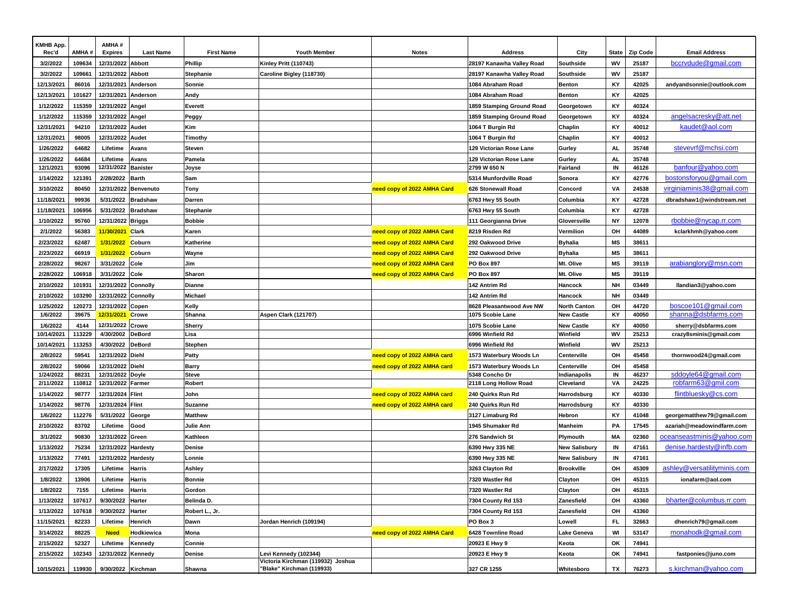| KMHB App.  |        | AMHA#               |                      |                   |                                   |                             |                           |                      |              |                 |                             |
|------------|--------|---------------------|----------------------|-------------------|-----------------------------------|-----------------------------|---------------------------|----------------------|--------------|-----------------|-----------------------------|
| Rec'd      | AMHA#  | <b>Expires</b>      | <b>Last Name</b>     | <b>First Name</b> | <b>Youth Member</b>               | <b>Notes</b>                | Address                   | City                 | <b>State</b> | <b>Zip Code</b> | <b>Email Address</b>        |
| 3/2/2022   | 109634 | 12/31/2022          | <b>Abbott</b>        | Phillip           | Kinley Pritt (110743)             |                             | 28197 Kanawha Valley Road | Southside            | wv           | 25187           | bccrydude@gmail.com         |
| 3/2/2022   | 109661 | 12/31/2022 Abbott   |                      | Stephanie         | Caroline Bigley (118730)          |                             | 28197 Kanawha Valley Road | Southside            | WV           | 25187           |                             |
| 12/13/2021 | 86016  | 12/31/2021          | Anderson             | Sonnie            |                                   |                             | 1084 Abraham Road         | <b>Benton</b>        | KY           | 42025           | andyandsonnie@outlook.com   |
| 12/13/2021 | 101627 | 12/31/2021 Anderson |                      | Andy              |                                   |                             | 1084 Abraham Road         | <b>Benton</b>        | KY           | 42025           |                             |
| 1/12/2022  | 115359 | 12/31/2022 Angel    |                      | Everett           |                                   |                             | 1859 Stamping Ground Road | Georgetown           | KY           | 40324           |                             |
| 1/12/2022  | 115359 | 12/31/2022 Angel    |                      | Peggy             |                                   |                             | 1859 Stamping Ground Road | Georgetown           | KY           | 40324           | angelsacresky@att.net       |
| 12/31/2021 | 94210  | 12/31/2022 Audet    |                      | Kim               |                                   |                             | 1064 T Burgin Rd          | Chaplin              | KY           | 40012           | kaudet@aol.com              |
| 12/31/2021 | 98005  | 12/31/2022 Audet    |                      | Timothy           |                                   |                             | 1064 T Burgin Rd          | Chaplin              | KY           | 40012           |                             |
| 1/26/2022  | 64682  | Lifetime            | Avans                | <b>Steven</b>     |                                   |                             | 129 Victorian Rose Lane   | Gurley               | <b>AL</b>    | 35748           | stevevrf@mchsi.com          |
| 1/26/2022  | 64684  | Lifetime            | Avans                | Pamela            |                                   |                             | 129 Victorian Rose Lane   | Gurley               | <b>AL</b>    | 35748           |                             |
| 12/1/2021  | 93096  | 12/31/2022 Banister |                      | Joyse             |                                   |                             | 2799 W 650 N              | Fairland             | IN           | 46126           | banfour@yahoo.com           |
| 1/14/2022  | 121391 | 2/28/2022           | <b>Barth</b>         | Sam               |                                   |                             | 5314 Munfordville Road    | Sonora               | KY           | 42776           | bostonsforyou@gmail.com     |
| 3/10/2022  | 80450  |                     | 12/31/2022 Benvenuto | Tony              |                                   | need copy of 2022 AMHA Card | 626 Stonewall Road        | Concord              | VA           | 24538           | virginiaminis38@gmail.com   |
| 11/18/2021 | 99936  | 5/31/2022           | <b>Bradshaw</b>      | Darren            |                                   |                             | 6763 Hwy 55 South         | Columbia             | KY           | 42728           | dbradshaw1@windstream.net   |
| 11/18/2021 | 106956 | 5/31/2022           | <b>Bradshaw</b>      | Stephanie         |                                   |                             | 6763 Hwy 55 South         | Columbia             | KY           | 42728           |                             |
| 1/10/2022  | 95760  | 12/31/2022 Briggs   |                      | <b>Bobbie</b>     |                                   |                             | 111 Georgianna Drive      | Gloversville         | <b>NY</b>    | 12078           | rbobbie@nycap.rr.com        |
| 2/1/2022   | 56383  | 11/30/2021          | <b>Clark</b>         | Karen             |                                   | need copy of 2022 AMHA Card | 8219 Risden Rd            | Vermilion            | OH           | 44089           | kclarkhmh@yahoo.com         |
| 2/23/2022  | 62487  | 1/31/2022           | <b>Coburn</b>        | Katherine         |                                   | need copy of 2022 AMHA Card | 292 Oakwood Drive         | <b>Byhalia</b>       | MS           | 38611           |                             |
| 2/23/2022  | 66919  | 1/31/2022           | <b>Coburn</b>        | Wayne             |                                   | need copy of 2022 AMHA Card | 292 Oakwood Drive         | <b>Byhalia</b>       | MS           | 38611           |                             |
| 2/28/2022  | 98267  | 3/31/2022           | Cole                 | Jim               |                                   | need copy of 2022 AMHA Card | PO Box 897                | Mt. Olive            | MS           | 39119           | arabianglory@msn.com        |
| 2/28/2022  | 106918 | 3/31/2022           | Cole                 | Sharon            |                                   | need copy of 2022 AMHA Card | <b>PO Box 897</b>         | Mt. Olive            | MS           | 39119           |                             |
| 2/10/2022  | 101931 | 12/31/2022 Connolly |                      | Dianne            |                                   |                             | 142 Antrim Rd             | Hancock              | NH           | 03449           | llandian3@yahoo.com         |
| 2/10/2022  | 103290 | 12/31/2022 Connolly |                      | Michael           |                                   |                             | 142 Antrim Rd             | Hancock              | <b>NH</b>    | 03449           |                             |
| 1/25/2022  | 120273 | 12/31/2022 Copen    |                      | Kelly             |                                   |                             | 8628 Pleasantwood Ave NW  | <b>North Canton</b>  | OH           | 44720           | boscoe101@gmail.com         |
| 1/6/2022   | 39675  | 12/31/2021          | <b>Crowe</b>         | Shanna            | <b>Aspen Clark (121707)</b>       |                             | 1075 Scobie Lane          | <b>New Castle</b>    | KY           | 40050           | shanna@dsbfarms.com         |
| 1/6/2022   | 4144   | 12/31/2022          | Crowe                | Sherry            |                                   |                             | 1075 Scobie Lane          | <b>New Castle</b>    | KY           | 40050           | sherry@dsbfarms.com         |
| 10/14/2021 | 113229 | 4/30/2002           | <b>DeBord</b>        | Lisa              |                                   |                             | 6996 Winfield Rd          | Winfield             | WV           | 25213           | crazy8sminis@gmail.com      |
| 10/14/2021 | 113253 | 4/30/2022           | <b>DeBord</b>        | Stephen           |                                   |                             | 6996 Winfield Rd          | Winfield             | WV           | 25213           |                             |
| 2/8/2022   | 59541  | 12/31/2022 Diehl    |                      | <b>Patty</b>      |                                   | need copy of 2022 AMHA card | 1573 Waterbury Woods Ln   | Centerville          | OH           | 45458           | thornwood24@gmail.com       |
| 2/8/2022   | 59066  | 12/31/2022 Diehl    |                      | <b>Barry</b>      |                                   | need copy of 2022 AMHA card | 1573 Waterbury Woods Ln   | Centerville          | OH           | 45458           |                             |
| 1/24/2022  | 88231  | 12/31/2022 Doyle    |                      | <b>Steve</b>      |                                   |                             | 5348 Concho Dr            | Indianapolis         | IN           | 46237           | sddoyle64@gmail.com         |
| 2/11/2022  | 110812 | 12/31/2022 Farmer   |                      | Robert            |                                   |                             | 2118 Long Hollow Road     | Cleveland            | VA           | 24225           | robfarm63@gmil.com          |
| 1/14/2022  | 98777  | 12/31/2024 Flint    |                      | John              |                                   | need copy of 2022 AMHA card | 240 Quirks Run Rd         | Harrodsburg          | KY           | 40330           | flintbluesky@cs.com         |
| 1/14/2022  | 98776  | 12/31/2024 Flint    |                      | Suzanne           |                                   | need copy of 2022 AMHA card | 240 Quirks Run Rd         | Harrodsburg          | KY           | 40330           |                             |
| 1/6/2022   | 112276 | 5/31/2022           | George               | <b>Matthew</b>    |                                   |                             | 3127 Limaburg Rd          | Hebron               | KY           | 41048           | georgematthew79@gmail.com   |
| 2/10/2022  | 83702  | Lifetime            | Good                 | Julie Ann         |                                   |                             | 1945 Shumaker Rd          | <b>Manheim</b>       | PA           | 17545           | azariah@meadowindfarm.com   |
| 3/1/2022   | 90830  | 12/31/2022 Green    |                      | Kathleen          |                                   |                             | 276 Sandwich St           | Plymouth             | MA           | 02360           | oceanseastminis@yahoo.com   |
| 1/13/2022  | 75234  | 12/31/2022 Hardesty |                      | Denise            |                                   |                             | 6390 Hwy 335 NE           | <b>New Salisbury</b> | IN           | 47161           | denise.hardesty@infb.com    |
| 1/13/2022  | 77491  | 12/31/2022          | Hardesty             | Lonnie            |                                   |                             | 6390 Hwy 335 NE           | <b>New Salisbury</b> | IN           | 47161           |                             |
| 2/17/2022  | 17305  | Lifetime            | Harris               | Ashley            |                                   |                             | 3263 Clayton Rd           | <b>Brookville</b>    | OH           | 45309           | ashley@versatilityminis.com |
| 1/8/2022   | 13906  | Lifetime            | Harris               | <b>Bonnie</b>     |                                   |                             | 7320 Wastler Rd           | Clayton              | OH           | 45315           | ionafarm@aol.com            |
| 1/8/2022   | 7155   | Lifetime            | <b>Harris</b>        | Gordon            |                                   |                             | 7320 Wastler Rd           | Clayton              | OH           | 45315           |                             |
| 1/13/2022  | 107617 | 9/30/2022           | Harter               | Belinda D.        |                                   |                             | 7304 County Rd 153        | Zanesfield           | OH           | 43360           | bharter@columbus.rr.com     |
| 1/13/2022  | 107618 | 9/30/2022           | Harter               | Robert L., Jr.    |                                   |                             | 7304 County Rd 153        | Zanesfield           | OH           | 43360           |                             |
| 11/15/2021 | 82233  | Lifetime            | Henrich              | Dawn              | Jordan Henrich (109194)           |                             | PO Box 3                  | Lowell               | FL.          | 32663           | dhenrich79@gmail.com        |
| 3/14/2022  | 88225  | <b>Need</b>         | Hodkiewica           | Mona              |                                   | need copy of 2022 AMHA Card | 6428 Townline Road        | Lake Geneva          | WI           | 53147           | monahodk@gmail.com          |
| 2/15/2022  | 52327  | Lifetime            | Kennedy              | Connie            |                                   |                             | 20923 E Hwy 9             | Keota                | OK           | 74941           |                             |
| 2/15/2022  | 102343 | 12/31/2022 Kennedy  |                      | Denise            | Levi Kennedy (102344)             |                             | 20923 E Hwy 9             | Keota                | OK           | 74941           | fastponies@juno.com         |
|            |        |                     |                      |                   | Victoria Kirchman (119932) Joshua |                             |                           |                      |              |                 |                             |
| 10/15/2021 | 119930 | 9/30/2022 Kirchman  |                      | Shawna            | "Blake" Kirchman (119933)         |                             | 327 CR 1255               | Whitesboro           | TX           | 76273           | s.kirchman@yahoo.com        |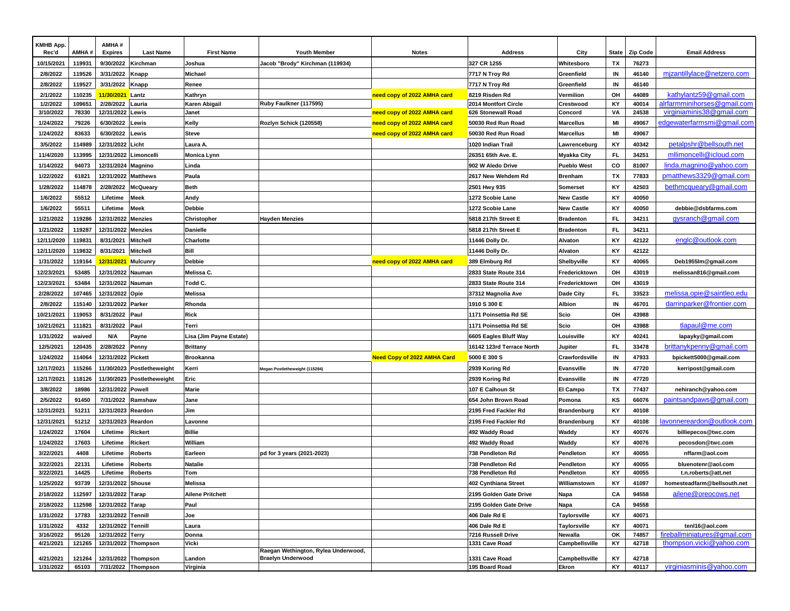| KMHB App.  |        | AMHA#                 |                            |                         |                                     |                                    |                                      |                           |           |                 |                                                          |
|------------|--------|-----------------------|----------------------------|-------------------------|-------------------------------------|------------------------------------|--------------------------------------|---------------------------|-----------|-----------------|----------------------------------------------------------|
| Rec'd      | AMHA#  | <b>Expires</b>        | <b>Last Name</b>           | <b>First Name</b>       | <b>Youth Member</b>                 | <b>Notes</b>                       | <b>Address</b>                       | City                      | State     | <b>Zip Code</b> | <b>Email Address</b>                                     |
| 10/15/2021 | 119931 | 9/30/2022             | Kirchman                   | Joshua                  | Jacob "Brody" Kirchman (119934)     |                                    | 327 CR 1255                          | Whitesboro                | ΤХ        | 76273           |                                                          |
| 2/8/2022   | 119526 | 3/31/2022             | Knapp                      | Michael                 |                                     |                                    | 7717 N Troy Rd                       | Greenfield                | IN        | 46140           | mizantillylace@netzero.com                               |
| 2/8/2022   | 119527 | 3/31/2022             | <b>Knapp</b>               | Renee                   |                                     |                                    | 7717 N Troy Rd                       | Greenfield                | IN        | 46140           |                                                          |
| 2/1/2022   | 110235 | 11/30/2021            | Lantz                      | Kathryn                 |                                     | need copy of 2022 AMHA card        | 8219 Risden Rd                       | Vermilion                 | OH        | 44089           | kathylantz59@gmail.com                                   |
| 1/2/2022   | 109651 | 2/28/2022             | Lauria                     | Karen Abigail           | Ruby Faulkner (117595)              |                                    | 2014 Montfort Circle                 | Crestwood                 | KY        | 40014           | alrfarmminihorses@gmail.com                              |
| 3/10/2022  | 78330  | 12/31/2022 Lewis      |                            | Janet                   |                                     | need copy of 2022 AMHA card        | 626 Stonewall Road                   | Concord                   | VA        | 24538           | virginiaminis38@gmail.com                                |
| 1/24/2022  | 79226  | 6/30/2022             | Lewis                      | Kelly                   | Rozlyn Schick (120558)              | need copy of 2022 AMHA card        | 50030 Red Run Road                   | <b>Marcellus</b>          | MI        | 49067           | edgewaterfarmsmi@gmail.com                               |
| 1/24/2022  | 83633  | 6/30/2022             | Lewis                      | <b>Steve</b>            |                                     | need copy of 2022 AMHA card        | 50030 Red Run Road                   | Marcellus                 | MI        | 49067           |                                                          |
| 3/5/2022   | 114989 | 12/31/2022 Licht      |                            | Laura A.                |                                     |                                    | 1020 Indian Trail                    | Lawrenceburg              | KY        | 40342           | petalpshr@bellsouth.net                                  |
| 11/4/2020  | 113995 | 12/31/2022 Limoncelli |                            | <b>Monica Lynn</b>      |                                     |                                    | 26351 65th Ave. E.                   | <b>Myakka City</b>        | FL.       | 34251           | mllimoncelli@icloud.com                                  |
| 1/14/2022  | 94073  | 12/31/2024 Magnino    |                            | Linda                   |                                     |                                    | 902 W Aledo Drive                    | <b>Pueblo West</b>        | CO        | 81007           | linda.magnino@yahoo.com                                  |
| 1/22/2022  | 61821  | 12/31/2022 Matthews   |                            | Paula                   |                                     |                                    | 2617 New Wehdem Rd                   | <b>Brenham</b>            | TX        | 77833           | pmatthews3329@gmail.com                                  |
| 1/28/2022  | 114878 | 2/28/2022             | <b>McQueary</b>            | <b>Beth</b>             |                                     |                                    | 2501 Hwy 935                         | Somerset                  | KY        | 42503           | bethmcqueary@qmail.com                                   |
| 1/6/2022   | 55512  | Lifetime              | <b>Meek</b>                | Andy                    |                                     |                                    | 1272 Scobie Lane                     | New Castle                | KY        | 40050           |                                                          |
| 1/6/2022   | 55511  | Lifetime              | <b>Meek</b>                | <b>Debbie</b>           |                                     |                                    | 1272 Scobie Lane                     | New Castle                | KY        | 40050           | debbie@dsbfarms.com                                      |
| 1/21/2022  | 119286 | 12/31/2022 Menzies    |                            | Christopher             | Hayden Menzies                      |                                    | 5818 217th Street E                  | <b>Bradenton</b>          | FL.       | 34211           | gysranch@gmail.com                                       |
| 1/21/2022  | 119287 | 12/31/2022 Menzies    |                            | <b>Danielle</b>         |                                     |                                    | 5818 217th Street E                  | <b>Bradenton</b>          | FL.       | 34211           |                                                          |
| 12/11/2020 | 119831 | 8/31/2021             | <b>Mitchell</b>            | Charlotte               |                                     |                                    | 11446 Dolly Dr.                      | Alvaton                   | KY        | 42122           | englc@outlook.com                                        |
| 12/11/2020 | 119832 | 8/31/2021             | Mitchell                   | Bill                    |                                     |                                    | 11446 Dolly Dr.                      | Alvaton                   | KY        | 42122           |                                                          |
| 1/31/2022  | 119164 | 12/31/2021            | Mulcunry                   | <b>Debbie</b>           |                                     | need copy of 2022 AMHA card        | 389 Elmburg Rd                       | Shelbyville               | KY        | 40065           | Deb1955Im@gmail.com                                      |
| 12/23/2021 | 53485  | 12/31/2022 Nauman     |                            | Melissa C.              |                                     |                                    | 2833 State Route 314                 | Fredericktown             | OH        | 43019           | melissan816@gmail.com                                    |
| 12/23/2021 | 53484  | 12/31/2022 Nauman     |                            | Todd C.                 |                                     |                                    | 2833 State Route 314                 | Fredericktown             | OH        | 43019           |                                                          |
| 2/28/2022  | 107465 | 12/31/2022 Opie       |                            | <b>Melissa</b>          |                                     |                                    | 37312 Magnolia Ave                   | Dade City                 | FL.       | 33523           | melissa.opie@saintleo.edu                                |
| 2/8/2022   | 115140 | 12/31/2022 Parker     |                            | Rhonda                  |                                     |                                    | 1910 S 300 E                         | Albion                    | IN        | 46701           | darrinparker@frontier.com                                |
| 10/21/2021 | 119053 | 8/31/2022             | Paul                       | <b>Rick</b>             |                                     |                                    | 1171 Poinsettia Rd SE                | Scio                      | OH        | 43988           |                                                          |
| 10/21/2021 | 111821 | 8/31/2022             | Paul                       | Terri                   |                                     |                                    | 1171 Poinsettia Rd SE                | Scio                      | OH        | 43988           | tlapaul@me.com                                           |
| 1/31/2022  | waived | N/A                   | Payne                      | Lisa (Jim Payne Estate) |                                     |                                    | 6605 Eagles Bluff Way                | Louisville                | KY        | 40241           | lapayky@gmail.com                                        |
| 12/5/2021  | 120435 | 2/28/2022             | Penny                      | <b>Brittany</b>         |                                     |                                    | 16142 123rd Terrace North            | Jupiter                   | <b>FL</b> | 33478           | brittanykpenny@gmail.com                                 |
| 1/24/2022  | 114064 | 12/31/2022 Pickett    |                            | <b>Brookanna</b>        |                                     |                                    | 5000 E 300 S                         | Crawfordsville            | IN        | 47933           |                                                          |
|            | 115266 |                       |                            |                         |                                     | <b>Need Copy of 2022 AMHA Card</b> |                                      |                           | IN        |                 | bpickett5000@gmail.com                                   |
| 12/17/2021 |        |                       | 11/30/2023 Postletheweight | Kerri                   | Megan Postletheweight (115284)      |                                    | 2939 Koring Rd                       | Evansville                |           | 47720           | kerripost@gmail.com                                      |
| 12/17/2021 | 118126 | 11/30/2023            | Postletheweight            | Eric                    |                                     |                                    | 2939 Koring Rd                       | Evansville                | IN        | 47720           |                                                          |
| 3/8/2022   | 18986  | 12/31/2022 Powell     |                            | <b>Marie</b>            |                                     |                                    | 107 E Calhoun St                     | El Campo                  | TX        | 77437           | nehiranch@yahoo.com                                      |
| 2/5/2022   | 91450  | 7/31/2022             | Ramshaw                    | Jane                    |                                     |                                    | 654 John Brown Road                  | Pomona                    | KS        | 66076           | paintsandpaws@gmail.com                                  |
| 12/31/2021 | 51211  | 12/31/2023            | Reardon                    | Jim                     |                                     |                                    | 2195 Fred Fackler Rd                 | <b>Brandenburg</b>        | KY        | 40108           |                                                          |
| 12/31/2021 | 51212  | 12/31/2023 Reardon    |                            | Lavonne                 |                                     |                                    | 2195 Fred Fackler Rd                 | <b>Brandenburg</b>        | KY        | 40108           | lavonnereardon@outlook.com                               |
| 1/24/2022  | 17604  | Lifetime              | Rickert                    | <b>Billie</b>           |                                     |                                    | 492 Waddy Road                       | Waddy                     | KY        | 40076           | billiepecos@twc.com                                      |
| 1/24/2022  | 17603  | Lifetime              | Rickert                    | William                 |                                     |                                    | 492 Waddy Road                       | Waddy                     | KY        | 40076           | pecosdon@twc.com                                         |
| 3/22/2021  | 4408   | Lifetime              | <b>Roberts</b>             | Earleen                 | pd for 3 years (2021-2023)          |                                    | 738 Pendleton Rd                     | Pendleton                 | KY        | 40055           | nffarm@aol.com                                           |
| 3/22/2021  | 22131  | Lifetime              | <b>Roberts</b>             | <b>Natalie</b>          |                                     |                                    | 738 Pendleton Rd                     | Pendleton                 | KY        | 40055           | bluenotenr@aol.com                                       |
| 3/22/2021  | 14425  | Lifetime              | <b>Roberts</b>             | Tom                     |                                     |                                    | 738 Pendleton Rd                     | Pendleton                 | KY        | 40055           | t.n.roberts@att.net                                      |
| 1/25/2022  | 93739  | 12/31/2022 Shouse     |                            | Melissa                 |                                     |                                    | 402 Cynthiana Street                 | Williamstown              | KY        | 41097           | homesteadfarm@bellsouth.net                              |
| 2/18/2022  | 112597 | 12/31/2022 Tarap      |                            | <b>Ailene Pritchett</b> |                                     |                                    | 2195 Golden Gate Drive               | Napa                      | CA        | 94558           | ailene@oreocows.net                                      |
| 2/18/2022  | 112598 | 12/31/2022 Tarap      |                            | Paul                    |                                     |                                    | 2195 Golden Gate Drive               | Napa                      | CA        | 94558           |                                                          |
| 1/31/2022  | 17783  | 12/31/2022 Tennill    |                            | Joe                     |                                     |                                    | 406 Dale Rd E                        | Taylorsville              | KY        | 40071           |                                                          |
| 1/31/2022  | 4332   | 12/31/2022 Tennill    |                            | Laura                   |                                     |                                    | 406 Dale Rd E                        | Taylorsville              | KY        | 40071           | tenl16@aol.com                                           |
| 3/16/2022  | 95126  | 12/31/2022 Terry      |                            | Donna<br>Vicki          |                                     |                                    | 7216 Russell Drive<br>1331 Cave Road | Newalla<br>Campbellsville | OK        | 74857<br>42718  | fireballminiatures@gmail.com<br>thompson.vicki@yahoo.com |
| 4/21/2021  | 121265 |                       | 12/31/2022 Thompson        |                         | Raegan Wethington, Rylea Underwood, |                                    |                                      |                           | KY        |                 |                                                          |
| 4/21/2021  | 121264 |                       | 12/31/2022 Thompson        | Landon                  | <b>Braelyn Underwood</b>            |                                    | 1331 Cave Road                       | Campbellsville            | KY        | 42718           |                                                          |
| 1/31/2022  | 65103  |                       | 7/31/2022 Thompson         | Virginia                |                                     |                                    | 195 Board Road                       | <b>Ekron</b>              | KY        | 40117           | virginiasminis@yahoo.com                                 |